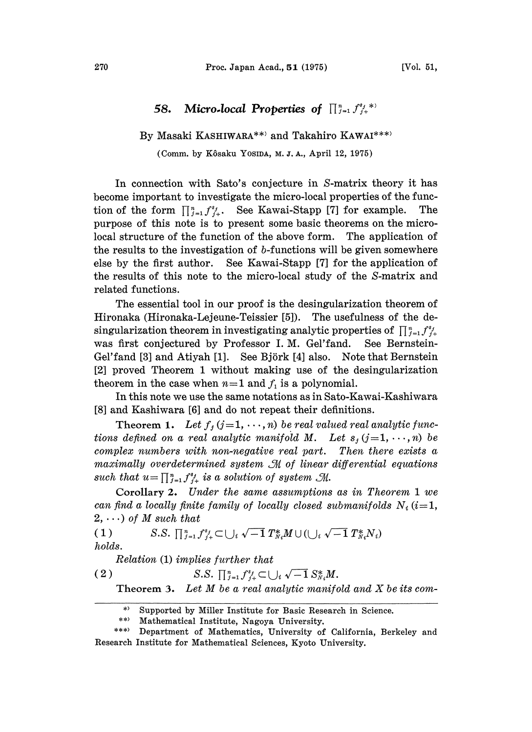## 58. Micro-local Properties of  $\prod_{j=1}^n f_{j+}^{s_j,*}$

## By Masaki KASHIWARA\*\*) and Takahiro KAWAI\*\*\*)

(Comm. by Kôsaku Yosina, M.J.A., April 12, 1975)

In connection with Sato's conjecture in S-matrix theory it has become important to investigate the micro-local properties of the function of the form  $\prod_{j=1}^n f_{j+1}^{s_j}$ . See Kawai-Stapp [7] for example. The purpose of this note is to present some basic theorems on the microlocal structure of the function of the above form. The application of the results to the investigation of b-functions will be given somewhere else by the first author. See Kawai-Stapp [7] for the application of the results of this note to the micro-local study of the S-matrix and related functions.

The essential tool in our proof is the desingularization theorem of Hironaka (Hironaka-Lejeune-Teissier [5]). The usefulness of the desingularization theorem in investigating analytic properties of  $\prod_{j=1}^{n} f_{j+1}^{s_j}$  was first conjectured by Professor I. M. Gel'fand. See Bernsteinwas first conjectured by Professor I.M. Gel'fand. Gel'fand [3] and Atiyah [1]. See Björk [4] also. Note that Bernstein [2] proved Theorem 1 without making use of the desingularization theorem in the case when  $n=1$  and  $f_i$  is a polynomial.

In this note we use the same notations as in Sato-Kawai-Kashiwara [8] and Kashiwara [6] and do not repeat their definitions.

Theorem 1. Let  $f_j$   $(j=1, \dots, n)$  be real valued real analytic functions defined on a real analytic manifold M. Let  $s_j$  (j=1, ..., n) be<br>complex numbers with non-negative real part. Then there exists a  $complex\ numbers\ with\ non-negative\ real\ part.$ maximally overdetermined system  $\mathcal M$  of linear differential equations such that  $u=\prod_{j=1}^n f_{j+1}^{s_j}$  is a solution of system  $\mathfrak{M}$ .

Corollary 2. Under the same assumptions as in Theorem I we can find a locally finite family of locally closed submanifolds  $N_i$  (i=1,  $2, \ldots$ ) of M such that

( 1 ) S.S.  $\prod_{i=1}^{n} f_{i}^{s_i} \subset \bigcup_i \sqrt{-1} T_{N}^* M \cup (\bigcup_i \sqrt{-1} T_{N}^* N_i)$ holds.

\n*Relation* (1) *implies further that*  
\n
$$
S.S. \prod_{j=1}^{n} f_{j+}^{s_j} \subset \bigcup_i \sqrt{-1} S_{N_i}^* M.
$$
\n

**Theorem 3.** Let  $M$  be a real analytic manifold and  $X$  be its com-

\*) Supported by Miller Institute for Basic Research in Science.

<sup>\*\*)</sup> Mathematical Institute, Nagoya University.

<sup>\*\*\*)</sup> Department of Mathematics, University of California, Berkeley and Research Institute for Mathematical Sciences, Kyoto University.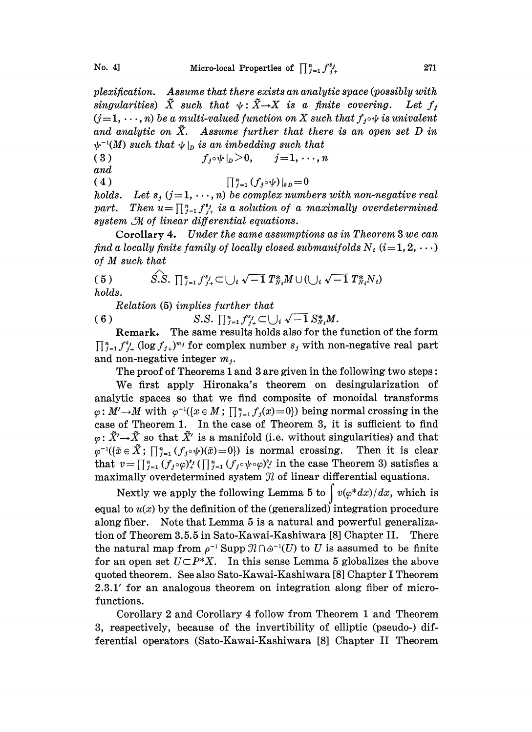plexification. Assume that there exists an analytic space (possibly with  $\tilde{X}$  such that  $\psi: \tilde{X} \rightarrow X$  is a finite covering. Let  $f_j$ <br>(j=1,  $\cdots$ ,n) be a multi-valued function on X such that  $f_j \circ \psi$  is univalent  $(j=1,\dots,n)$  be a multi-valued function on X such that  $f_j \circ \psi$  is univalent and analytic on  $\tilde{X}$ . Assume further that there is an open set D in  $\psi^{-1}(M)$  such that  $\psi|_p$  is an imbedding such that

(3)  $f_i \circ \psi |_n > 0, \quad j = 1, \dots, n$ and

(4)

holds. Let  $s_j$   $(j=1,\cdots,n)$  be complex numbers with non-negative real part.  $\prod_{j=1}^{n} (f_j \circ \psi)|_{\partial D} = 0$ Then  $u = \prod_{j=1}^{n} f_{j+1}^{s_j}$  is a solution of a maximally overdetermined  $\mathcal M$  of linear differential equations.<br>rollary 4. Under the same assumptions as in Theorem 3 we can cally finite family of locally closed submani system  $\mathcal M$  of linear differential equations.

Corollary 4. Under the same assumptions as in Theorem 3 we can find a locally finite family of locally closed submanifolds  $N_i$   $(i=1, 2, \ldots)$ of M such that

(5) 
$$
\hat{S.S.} \prod_{j=1}^{n} f_{j+}^{s_j} \subset \bigcup_i \sqrt{-1} T_{N_i}^* M \cup (\bigcup_i \sqrt{-1} T_{N_i}^* N_i)
$$
  
holds.

Relation (5) implies further that

(6)  $S.S. \prod_{j=1}^{n} f_{j+}^{s_j} \subset \bigcup_i \sqrt{-1} S_{N_i}^* M.$ 

Remark. The same results holds also for the function of the form  $\prod_{j=1}^n f_{j+1}^{s_j} (\log f_{j+1})^{m_j}$  for complex number  $s_j$  with non-negative real part and non-negative integer  $m_i$ .

The proof of Theorems 1 and 3 are given in the following two steps:

We first apply Hironaka's theorem on desingularization of analytic spaces so that we find composite of monoidal transforms  $\varphi: M' \to M$  with  $\varphi^{-1}(\{x \in M\}; \prod_{j=1}^n f_j(x)=0\})$  being normal crossing in the case of Theorem 1. In the case of Theorem 3, it is sufficient to find  $\varphi^{-1}(\{\tilde{x} \in \tilde{X}; \prod_{j=1}^n (f_j \circ \psi)(\tilde{x})=0\})$  is normal crossing. Then it is clear  $\varphi: \tilde{X}' \rightarrow \tilde{X}$  so that  $\tilde{X}'$  is a manifold (i.e. without singularities) and that  $\varphi^{-1}(\{\tilde{x} \in \tilde{X}; \prod_{j=1}^{n} (f_j \circ \psi)(\tilde{x}) = 0\})$  is normal crossing. Then it is clear that  $v = \prod_{j=1}^{n} (f_j \circ \psi)^{s_j}(\prod_{j=1}^{n} (f_j \circ \psi)^{s_j})$  in the case Theorem 3) satisfies a maximally overdetermined system  $\mathcal I$  of linear differential equations.

Nextly we apply the following Lemma 5 to  $\int v(\varphi^*dx)/dx$ , which is equal to  $u(x)$  by the definition of the (generalized) integration procedure along fiber. Note that Lemma <sup>5</sup> is a natural and powerful generalization of Theorem 3.5.5 in Sato-Kawai-Kashiwara [8] Chapter II. There the natural map from  $\rho^{-1}$  Supp  $\mathcal{H} \cap \tilde{\omega}^{-1}(U)$  to U is assumed to be finite for an open set  $U \subset P^*X$ . In this sense Lemma 5 globalizes the above quoted theorem. See also Sato-Kawai-Kashiwara [8] Chapter <sup>I</sup> Theorem  $2.3.1'$  for an analogous theorem on integration along fiber of microfunctions.

Corollary 2 and Corollary 4 follow from Theorem 1 and Theorem 3, respectively, because of the invertibility of elliptic (pseudo-) differential operators (Sato-Kawai-Kashiwara [8] Chapter II Theorem